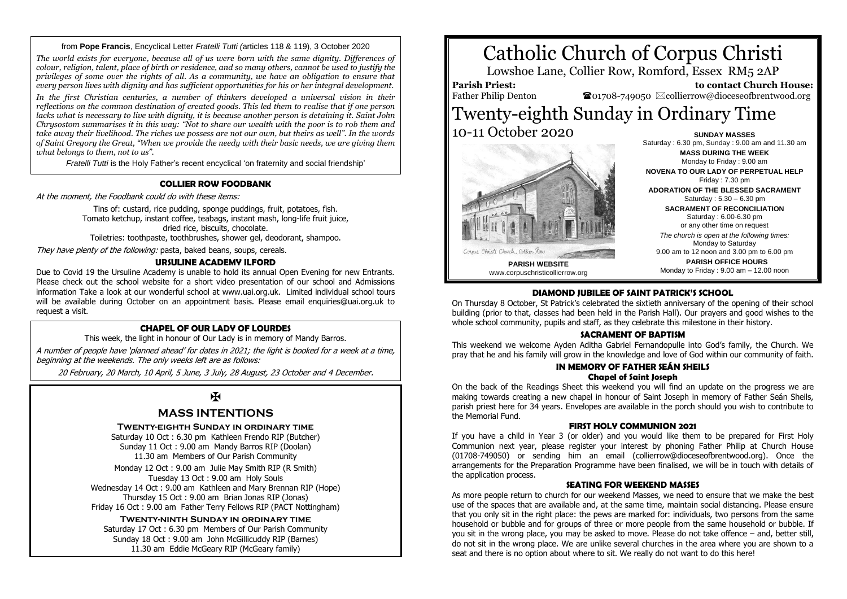from **Pope Francis**, Encyclical Letter *Fratelli Tutti (*articles 118 & 119), 3 October 2020

*The world exists for everyone, because all of us were born with the same dignity. Differences of colour, religion, talent, place of birth or residence, and so many others, cannot be used to justify the privileges of some over the rights of all. As a community, we have an obligation to ensure that every person lives with dignity and has sufficient opportunities for his or her integral development.*

*In the first Christian centuries, a number of thinkers developed a universal vision in their reflections on the common destination of created goods. This led them to realise that if one person lacks what is necessary to live with dignity, it is because another person is detaining it. Saint John Chrysostom summarises it in this way: "Not to share our wealth with the poor is to rob them and take away their livelihood. The riches we possess are not our own, but theirs as well". In the words of Saint Gregory the Great, "When we provide the needy with their basic needs, we are giving them what belongs to them, not to us".*

*Fratelli Tutti* is the Holy Father's recent encyclical 'on fraternity and social friendship'

#### **COLLIER ROW FOODBANK**

At the moment, the Foodbank could do with these items:

Tins of: custard, rice pudding, sponge puddings, fruit, potatoes, fish. Tomato ketchup, instant coffee, teabags, instant mash, long-life fruit juice, dried rice, biscuits, chocolate. Toiletries: toothpaste, toothbrushes, shower gel, deodorant, shampoo.

They have plenty of the following: pasta, baked beans, soups, cereals.

#### **URSULINE ACADEMY ILFORD**

Due to Covid 19 the Ursuline Academy is unable to hold its annual Open Evening for new Entrants. Please check out the school website for a short video presentation of our school and Admissions information Take a look at our wonderful school at www.uai.org.uk. Limited individual school tours will be available during October on an appointment basis. Please email enquiries@uai.org.uk to request a visit.

#### **CHAPEL OF OUR LADY OF LOURDES**

This week, the light in honour of Our Lady is in memory of Mandy Barros.

A number of people have 'planned ahead' for dates in 2021; the light is booked for a week at a time, beginning at the weekends. The only weeks left are as follows:

20 February, 20 March, 10 April, 5 June, 3 July, 28 August, 23 October and 4 December.

## Ж

## **MASS INTENTIONS**

**Twenty-eighth Sunday in ordinary time**

Saturday 10 Oct : 6.30 pm Kathleen Frendo RIP (Butcher) Sunday 11 Oct : 9.00 am Mandy Barros RIP (Doolan) 11.30 am Members of Our Parish Community

Monday 12 Oct : 9.00 am Julie May Smith RIP (R Smith) Tuesday 13 Oct : 9.00 am Holy Souls Wednesday 14 Oct : 9.00 am Kathleen and Mary Brennan RIP (Hope) Thursday 15 Oct : 9.00 am Brian Jonas RIP (Jonas) Friday 16 Oct : 9.00 am Father Terry Fellows RIP (PACT Nottingham)

**Twenty-ninth Sunday in ordinary time** Saturday 17 Oct : 6.30 pm Members of Our Parish Community Sunday 18 Oct : 9.00 am John McGillicuddy RIP (Barnes) 11.30 am Eddie McGeary RIP (McGeary family)

# Catholic Church of Corpus Christi

Lowshoe Lane, Collier Row, Romford, Essex RM5 2AP

**Parish Priest:** Father Philip Denton

 **to contact Church House:**  $\bullet$ 01708-749050  $\boxtimes$ collierrow@dioceseofbrentwood.org

### Twenty-eighth Sunday in Ordinary Time 10-11 October 2020 **SUNDAY MASSES**



www.corpuschristicollierrow.org

Saturday : 6.30 pm, Sunday : 9.00 am and 11.30 am **MASS DURING THE WEEK** Monday to Friday : 9.00 am **NOVENA TO OUR LADY OF PERPETUAL HELP** Friday : 7.30 pm **ADORATION OF THE BLESSED SACRAMENT** Saturday : 5.30 – 6.30 pm **SACRAMENT OF RECONCILIATION** Saturday : 6.00-6.30 pm or any other time on request *The church is open at the following times:* Monday to Saturday 9.00 am to 12 noon and 3.00 pm to 6.00 pm

> **PARISH OFFICE HOURS** Monday to Friday : 9.00 am – 12.00 noon

#### **DIAMOND JUBILEE OF SAINT PATRICK'S SCHOOL**

On Thursday 8 October, St Patrick's celebrated the sixtieth anniversary of the opening of their school building (prior to that, classes had been held in the Parish Hall). Our prayers and good wishes to the whole school community, pupils and staff, as they celebrate this milestone in their history.

#### **SACRAMENT OF BAPTISM**

This weekend we welcome Ayden Aditha Gabriel Fernandopulle into God's family, the Church. We pray that he and his family will grow in the knowledge and love of God within our community of faith.

#### **IN MEMORY OF FATHER SEÁN SHEILS Chapel of Saint Joseph**

On the back of the Readings Sheet this weekend you will find an update on the progress we are making towards creating a new chapel in honour of Saint Joseph in memory of Father Seán Sheils, parish priest here for 34 years. Envelopes are available in the porch should you wish to contribute to the Memorial Fund.

#### **FIRST HOLY COMMUNION 2021**

If you have a child in Year 3 (or older) and you would like them to be prepared for First Holy Communion next year, please register your interest by phoning Father Philip at Church House (01708-749050) or sending him an email (collierrow@dioceseofbrentwood.org). Once the arrangements for the Preparation Programme have been finalised, we will be in touch with details of the application process.

#### **SEATING FOR WEEKEND MASSES**

As more people return to church for our weekend Masses, we need to ensure that we make the best use of the spaces that are available and, at the same time, maintain social distancing. Please ensure that you only sit in the right place: the pews are marked for: individuals, two persons from the same household or bubble and for groups of three or more people from the same household or bubble. If you sit in the wrong place, you may be asked to move. Please do not take offence – and, better still, do not sit in the wrong place. We are unlike several churches in the area where you are shown to a seat and there is no option about where to sit. We really do not want to do this here!